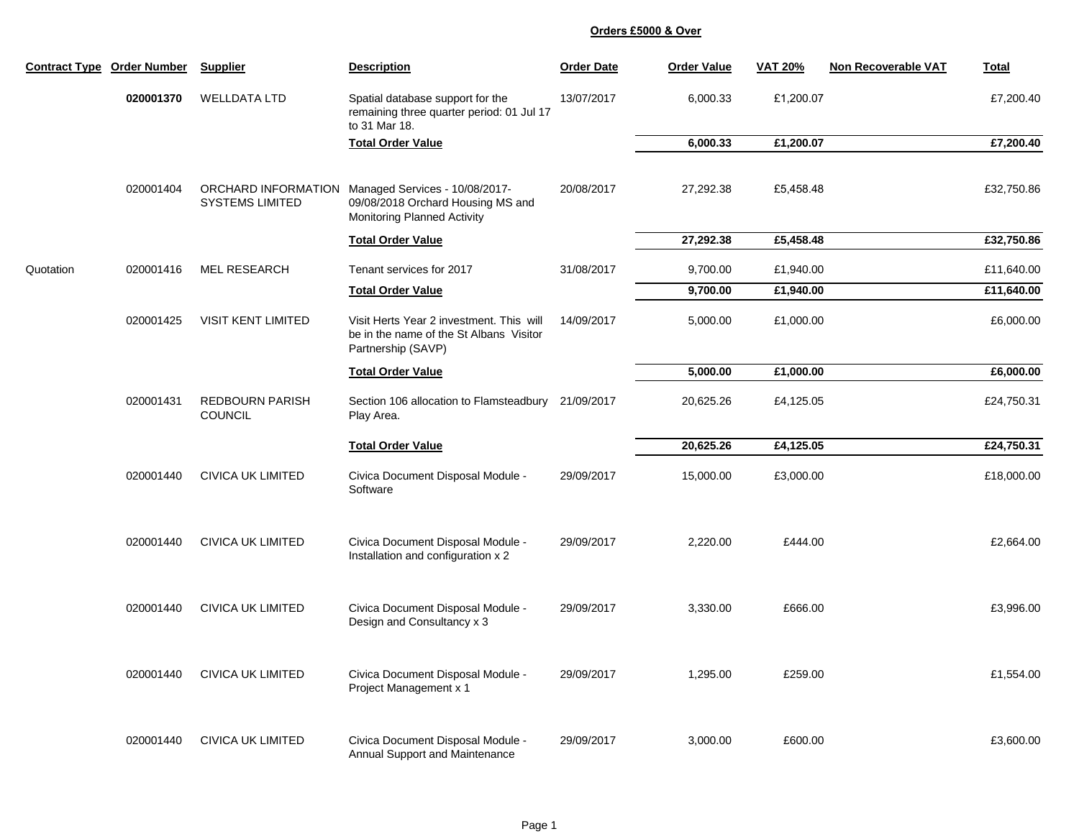| <b>Contract Type</b> | <b>Order Number</b> | <b>Supplier</b>                               | <b>Description</b>                                                                                        | <b>Order Date</b> | <b>Order Value</b> | <b>VAT 20%</b> | <b>Non Recoverable VAT</b> | <b>Total</b> |
|----------------------|---------------------|-----------------------------------------------|-----------------------------------------------------------------------------------------------------------|-------------------|--------------------|----------------|----------------------------|--------------|
|                      | 020001370           | <b>WELLDATA LTD</b>                           | Spatial database support for the<br>remaining three quarter period: 01 Jul 17<br>to 31 Mar 18.            | 13/07/2017        | 6,000.33           | £1,200.07      |                            | £7,200.40    |
|                      |                     |                                               | <b>Total Order Value</b>                                                                                  |                   | 6,000.33           | £1,200.07      |                            | £7,200.40    |
|                      | 020001404           | ORCHARD INFORMATION<br><b>SYSTEMS LIMITED</b> | Managed Services - 10/08/2017-<br>09/08/2018 Orchard Housing MS and<br><b>Monitoring Planned Activity</b> | 20/08/2017        | 27,292.38          | £5,458.48      |                            | £32,750.86   |
|                      |                     |                                               | <b>Total Order Value</b>                                                                                  |                   | 27,292.38          | £5,458.48      |                            | £32,750.86   |
| Quotation            | 020001416           | <b>MEL RESEARCH</b>                           | Tenant services for 2017                                                                                  | 31/08/2017        | 9,700.00           | £1,940.00      |                            | £11,640.00   |
|                      |                     |                                               | <b>Total Order Value</b>                                                                                  |                   | 9,700.00           | £1,940.00      |                            | £11,640.00   |
|                      | 020001425           | <b>VISIT KENT LIMITED</b>                     | Visit Herts Year 2 investment. This will<br>be in the name of the St Albans Visitor<br>Partnership (SAVP) | 14/09/2017        | 5,000.00           | £1,000.00      |                            | £6,000.00    |
|                      |                     |                                               | <b>Total Order Value</b>                                                                                  |                   | 5,000.00           | £1,000.00      |                            | £6,000.00    |
|                      | 020001431           | <b>REDBOURN PARISH</b><br><b>COUNCIL</b>      | Section 106 allocation to Flamsteadbury<br>Play Area.                                                     | 21/09/2017        | 20,625.26          | £4,125.05      |                            | £24,750.31   |
|                      |                     |                                               | <b>Total Order Value</b>                                                                                  |                   | 20,625.26          | £4,125.05      |                            | £24,750.31   |
|                      | 020001440           | <b>CIVICA UK LIMITED</b>                      | Civica Document Disposal Module -<br>Software                                                             | 29/09/2017        | 15,000.00          | £3,000.00      |                            | £18,000.00   |
|                      | 020001440           | <b>CIVICA UK LIMITED</b>                      | Civica Document Disposal Module -<br>Installation and configuration x 2                                   | 29/09/2017        | 2,220.00           | £444.00        |                            | £2,664.00    |
|                      | 020001440           | <b>CIVICA UK LIMITED</b>                      | Civica Document Disposal Module -<br>Design and Consultancy x 3                                           | 29/09/2017        | 3,330.00           | £666.00        |                            | £3,996.00    |
|                      | 020001440           | <b>CIVICA UK LIMITED</b>                      | Civica Document Disposal Module -<br>Project Management x 1                                               | 29/09/2017        | 1,295.00           | £259.00        |                            | £1,554.00    |
|                      | 020001440           | <b>CIVICA UK LIMITED</b>                      | Civica Document Disposal Module -<br>Annual Support and Maintenance                                       | 29/09/2017        | 3,000.00           | £600.00        |                            | £3,600.00    |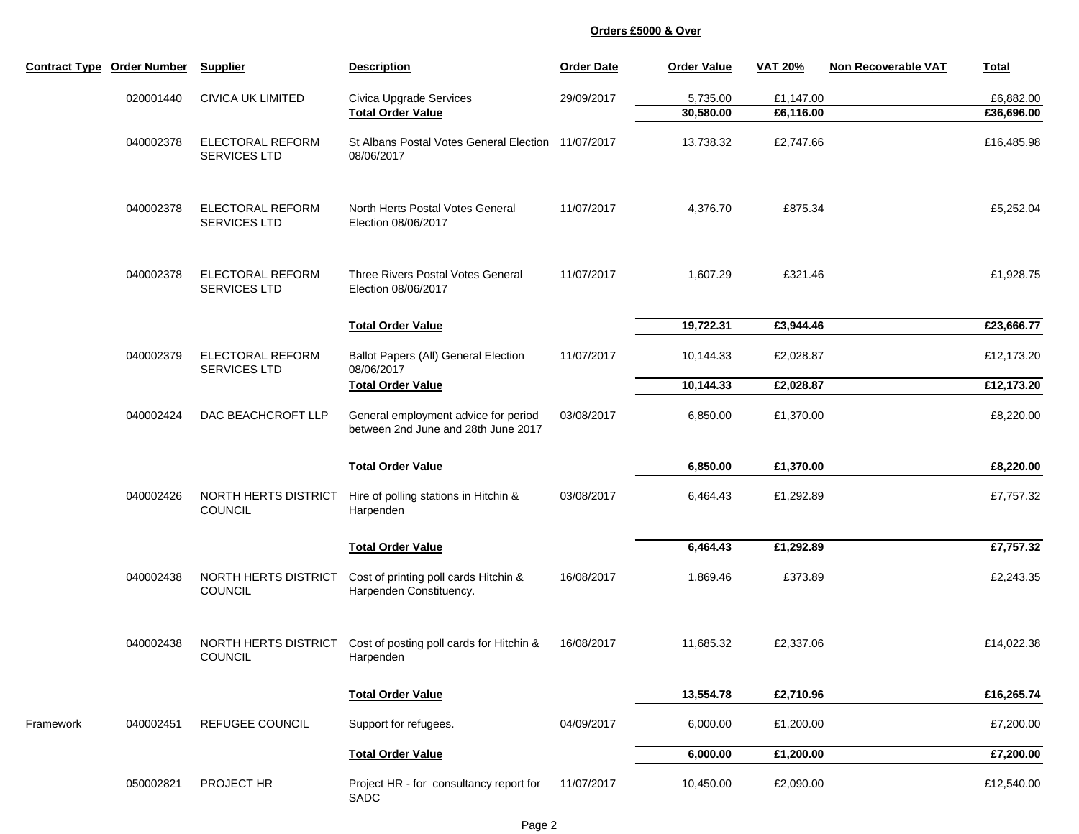|           | <b>Contract Type Order Number</b> | <b>Supplier</b>                                | <b>Description</b>                                                          | <b>Order Date</b> | <b>Order Value</b>    | <b>VAT 20%</b>         | <b>Non Recoverable VAT</b> | <b>Total</b>                                                                              |
|-----------|-----------------------------------|------------------------------------------------|-----------------------------------------------------------------------------|-------------------|-----------------------|------------------------|----------------------------|-------------------------------------------------------------------------------------------|
|           | 020001440                         | <b>CIVICA UK LIMITED</b>                       | Civica Upgrade Services<br><b>Total Order Value</b>                         | 29/09/2017        | 5,735.00<br>30,580.00 | £1,147.00<br>£6,116.00 |                            | £6,882.00<br>£36,696.00                                                                   |
|           | 040002378                         | <b>ELECTORAL REFORM</b><br>SERVICES LTD        | St Albans Postal Votes General Election 11/07/2017<br>08/06/2017            |                   | 13,738.32             | £2,747.66              |                            | £16,485.98                                                                                |
|           | 040002378                         | <b>ELECTORAL REFORM</b><br><b>SERVICES LTD</b> | North Herts Postal Votes General<br>Election 08/06/2017                     | 11/07/2017        | 4,376.70              | £875.34                |                            | £5,252.04                                                                                 |
|           | 040002378                         | <b>ELECTORAL REFORM</b><br>SERVICES LTD        | <b>Three Rivers Postal Votes General</b><br>Election 08/06/2017             | 11/07/2017        | 1,607.29              | £321.46                |                            | £1,928.75                                                                                 |
|           |                                   |                                                | <b>Total Order Value</b>                                                    |                   | 19,722.31             | £3,944.46              |                            | £23,666.77                                                                                |
|           | 040002379                         | <b>ELECTORAL REFORM</b><br>SERVICES LTD        | <b>Ballot Papers (All) General Election</b><br>08/06/2017                   | 11/07/2017        | 10,144.33             | £2,028.87              |                            | £12,173.20                                                                                |
|           |                                   |                                                | <b>Total Order Value</b>                                                    |                   | 10,144.33             | £2,028.87              |                            | £12,173.20                                                                                |
|           | 040002424                         | DAC BEACHCROFT LLP                             | General employment advice for period<br>between 2nd June and 28th June 2017 | 03/08/2017        | 6,850.00              | £1,370.00              |                            | £8,220.00                                                                                 |
|           |                                   |                                                | <b>Total Order Value</b>                                                    |                   | 6,850.00              | £1,370.00              |                            | £8,220.00                                                                                 |
|           | 040002426                         | NORTH HERTS DISTRICT<br><b>COUNCIL</b>         | Hire of polling stations in Hitchin &<br>Harpenden                          | 03/08/2017        | 6,464.43              | £1,292.89              |                            | £7,757.32<br>£7,757.32<br>£2,243.35<br>£14,022.38<br>£16,265.74<br>£7,200.00<br>£7,200.00 |
|           |                                   |                                                | <b>Total Order Value</b>                                                    |                   | 6,464.43              | £1,292.89              |                            |                                                                                           |
|           | 040002438                         | NORTH HERTS DISTRICT<br><b>COUNCIL</b>         | Cost of printing poll cards Hitchin &<br>Harpenden Constituency.            | 16/08/2017        | 1,869.46              | £373.89                |                            |                                                                                           |
|           | 040002438                         | NORTH HERTS DISTRICT<br><b>COUNCIL</b>         | Cost of posting poll cards for Hitchin &<br>Harpenden                       | 16/08/2017        | 11,685.32             | £2,337.06              |                            |                                                                                           |
|           |                                   |                                                | <b>Total Order Value</b>                                                    |                   | 13,554.78             | £2,710.96              |                            |                                                                                           |
| Framework | 040002451                         | REFUGEE COUNCIL                                | Support for refugees.                                                       | 04/09/2017        | 6,000.00              | £1,200.00              |                            |                                                                                           |
|           |                                   |                                                | <b>Total Order Value</b>                                                    |                   | 6,000.00              | £1,200.00              |                            |                                                                                           |
|           | 050002821                         | PROJECT HR                                     | Project HR - for consultancy report for<br>SADC                             | 11/07/2017        | 10,450.00             | £2,090.00              |                            | £12,540.00                                                                                |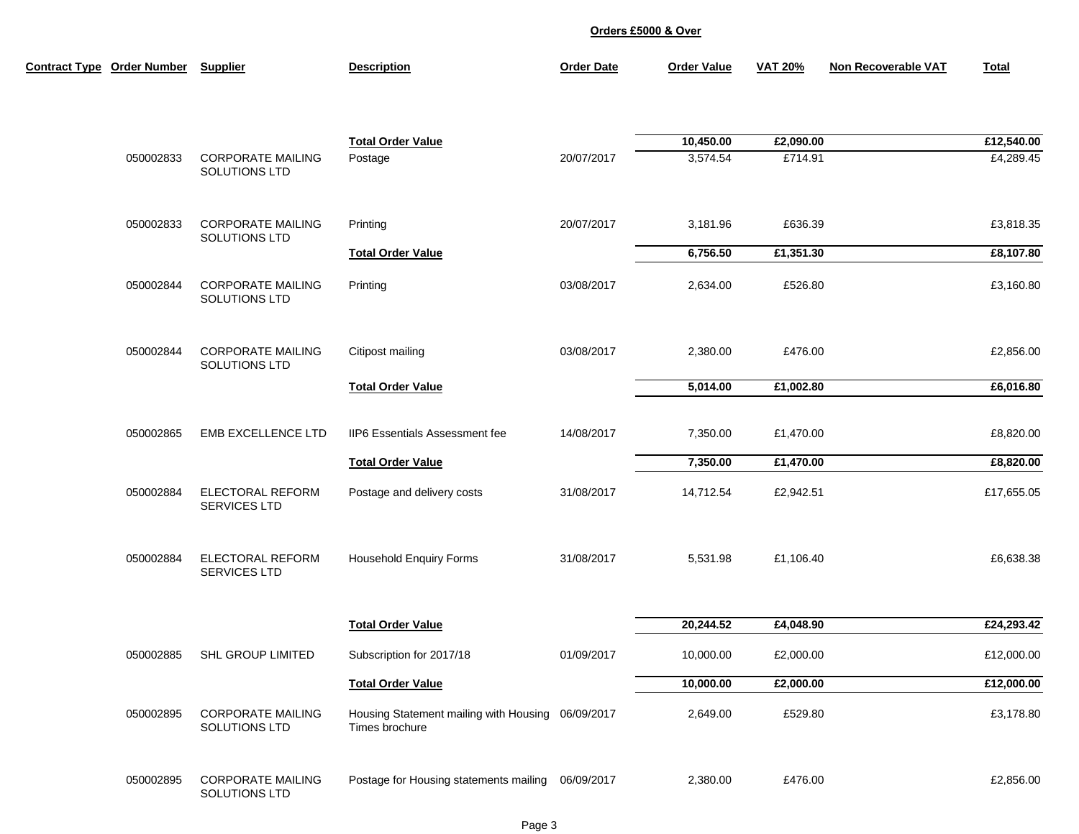| <b>Contract Type Order Number</b> | <b>Supplier</b>                           | <b>Description</b>                                                  | <b>Order Date</b> | <b>Order Value</b>    | <b>VAT 20%</b>       | <b>Non Recoverable VAT</b> | <b>Total</b>            |
|-----------------------------------|-------------------------------------------|---------------------------------------------------------------------|-------------------|-----------------------|----------------------|----------------------------|-------------------------|
| 050002833                         | <b>CORPORATE MAILING</b>                  | <b>Total Order Value</b><br>Postage                                 | 20/07/2017        | 10,450.00<br>3,574.54 | £2,090.00<br>£714.91 |                            | £12,540.00<br>£4,289.45 |
|                                   | SOLUTIONS LTD                             |                                                                     |                   |                       |                      |                            |                         |
| 050002833                         | <b>CORPORATE MAILING</b><br>SOLUTIONS LTD | Printing                                                            | 20/07/2017        | 3,181.96              | £636.39              |                            | £3,818.35               |
|                                   |                                           | <b>Total Order Value</b>                                            |                   | 6,756.50              | £1,351.30            |                            | £8,107.80               |
| 050002844                         | <b>CORPORATE MAILING</b><br>SOLUTIONS LTD | Printing                                                            | 03/08/2017        | 2,634.00              | £526.80              |                            | £3,160.80               |
| 050002844                         | <b>CORPORATE MAILING</b><br>SOLUTIONS LTD | Citipost mailing                                                    | 03/08/2017        | 2,380.00              | £476.00              |                            | £2,856.00               |
|                                   |                                           | <b>Total Order Value</b>                                            |                   | 5,014.00              | £1,002.80            |                            | £6,016.80               |
| 050002865                         | <b>EMB EXCELLENCE LTD</b>                 | <b>IIP6 Essentials Assessment fee</b>                               | 14/08/2017        | 7,350.00              | £1,470.00            |                            | £8,820.00               |
|                                   |                                           | <b>Total Order Value</b>                                            |                   | 7,350.00              | £1,470.00            |                            | £8,820.00               |
| 050002884                         | <b>ELECTORAL REFORM</b><br>SERVICES LTD   | Postage and delivery costs                                          | 31/08/2017        | 14,712.54             | £2,942.51            |                            | £17,655.05              |
| 050002884                         | <b>ELECTORAL REFORM</b><br>SERVICES LTD   | <b>Household Enquiry Forms</b>                                      | 31/08/2017        | 5,531.98              | £1,106.40            |                            | £6,638.38               |
|                                   |                                           | <b>Total Order Value</b>                                            |                   | 20,244.52             | £4,048.90            |                            | £24,293.42              |
| 050002885                         | <b>SHL GROUP LIMITED</b>                  | Subscription for 2017/18                                            | 01/09/2017        | 10,000.00             | £2,000.00            |                            | £12,000.00              |
|                                   |                                           | <b>Total Order Value</b>                                            |                   | 10,000.00             | £2,000.00            |                            | £12,000.00              |
| 050002895                         | <b>CORPORATE MAILING</b><br>SOLUTIONS LTD | Housing Statement mailing with Housing 06/09/2017<br>Times brochure |                   | 2,649.00              | £529.80              |                            | £3,178.80               |
| 050002895                         | <b>CORPORATE MAILING</b><br>SOLUTIONS LTD | Postage for Housing statements mailing 06/09/2017                   |                   | 2,380.00              | £476.00              |                            | £2,856.00               |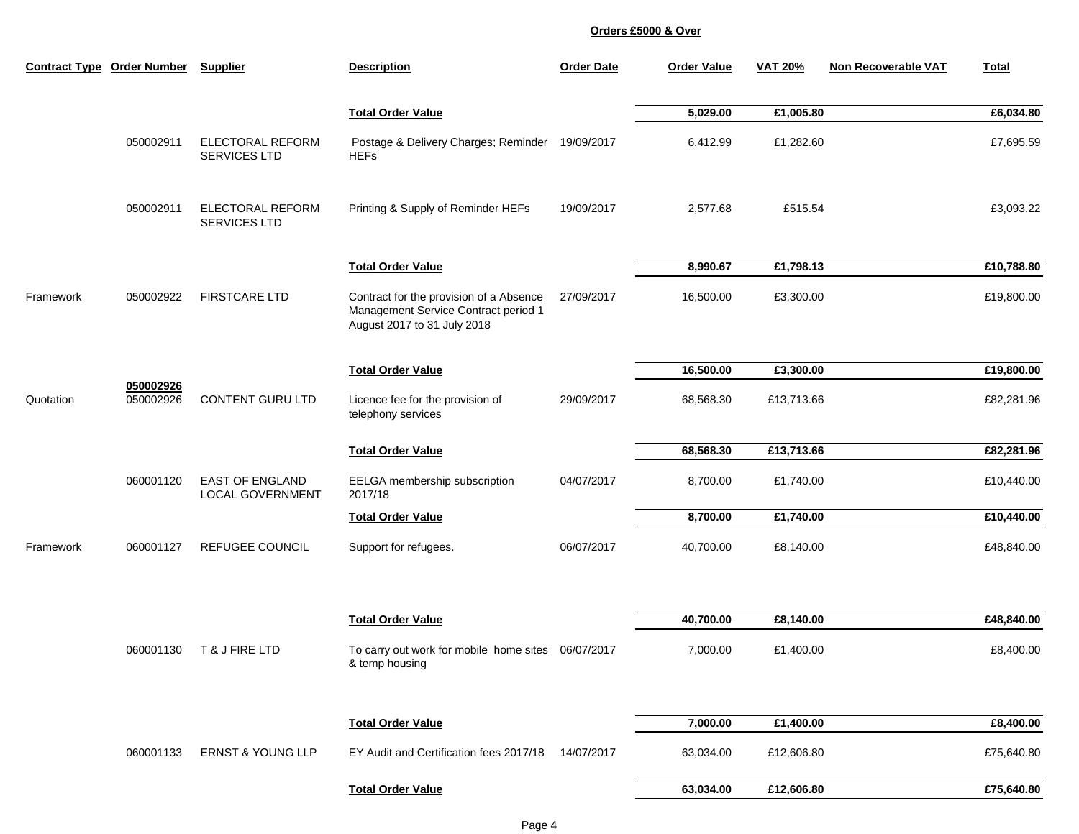|           | <b>Contract Type Order Number</b> | <b>Supplier</b>                                   | <b>Description</b>                                                                                             | <b>Order Date</b> | <b>Order Value</b> | <b>VAT 20%</b> | <b>Non Recoverable VAT</b> | <b>Total</b> |
|-----------|-----------------------------------|---------------------------------------------------|----------------------------------------------------------------------------------------------------------------|-------------------|--------------------|----------------|----------------------------|--------------|
|           |                                   |                                                   | <b>Total Order Value</b>                                                                                       |                   | 5,029.00           | £1,005.80      |                            | £6,034.80    |
|           | 050002911                         | <b>ELECTORAL REFORM</b><br><b>SERVICES LTD</b>    | Postage & Delivery Charges; Reminder<br><b>HEFs</b>                                                            | 19/09/2017        | 6,412.99           | £1,282.60      |                            | £7,695.59    |
|           | 050002911                         | <b>ELECTORAL REFORM</b><br><b>SERVICES LTD</b>    | Printing & Supply of Reminder HEFs                                                                             | 19/09/2017        | 2,577.68           | £515.54        |                            | £3,093.22    |
|           |                                   |                                                   | <b>Total Order Value</b>                                                                                       |                   | 8,990.67           | £1,798.13      |                            | £10,788.80   |
| Framework | 050002922                         | <b>FIRSTCARE LTD</b>                              | Contract for the provision of a Absence<br>Management Service Contract period 1<br>August 2017 to 31 July 2018 | 27/09/2017        | 16,500.00          | £3,300.00      |                            | £19,800.00   |
|           |                                   |                                                   | <b>Total Order Value</b>                                                                                       |                   | 16,500.00          | £3,300.00      |                            | £19,800.00   |
| Quotation | 050002926<br>050002926            | <b>CONTENT GURU LTD</b>                           | Licence fee for the provision of<br>telephony services                                                         | 29/09/2017        | 68,568.30          | £13,713.66     |                            | £82,281.96   |
|           |                                   |                                                   | <b>Total Order Value</b>                                                                                       |                   | 68,568.30          | £13,713.66     |                            | £82,281.96   |
|           | 060001120                         | <b>EAST OF ENGLAND</b><br><b>LOCAL GOVERNMENT</b> | EELGA membership subscription<br>2017/18                                                                       | 04/07/2017        | 8,700.00           | £1,740.00      |                            | £10,440.00   |
|           |                                   |                                                   | <b>Total Order Value</b>                                                                                       |                   | 8,700.00           | £1,740.00      |                            | £10,440.00   |
| Framework | 060001127                         | <b>REFUGEE COUNCIL</b>                            | Support for refugees.                                                                                          | 06/07/2017        | 40,700.00          | £8,140.00      |                            | £48,840.00   |
|           |                                   |                                                   | <b>Total Order Value</b>                                                                                       |                   | 40,700.00          | £8,140.00      |                            | £48,840.00   |
|           | 060001130                         | T & J FIRE LTD                                    | To carry out work for mobile home sites 06/07/2017<br>& temp housing                                           |                   | 7,000.00           | £1,400.00      |                            | £8,400.00    |
|           |                                   |                                                   | <b>Total Order Value</b>                                                                                       |                   | 7,000.00           | £1,400.00      |                            | £8,400.00    |
|           | 060001133                         | <b>ERNST &amp; YOUNG LLP</b>                      | EY Audit and Certification fees 2017/18                                                                        | 14/07/2017        | 63,034.00          | £12,606.80     |                            | £75,640.80   |
|           |                                   |                                                   | <b>Total Order Value</b>                                                                                       |                   | 63,034.00          | £12,606.80     |                            | £75,640.80   |
|           |                                   |                                                   |                                                                                                                |                   |                    |                |                            |              |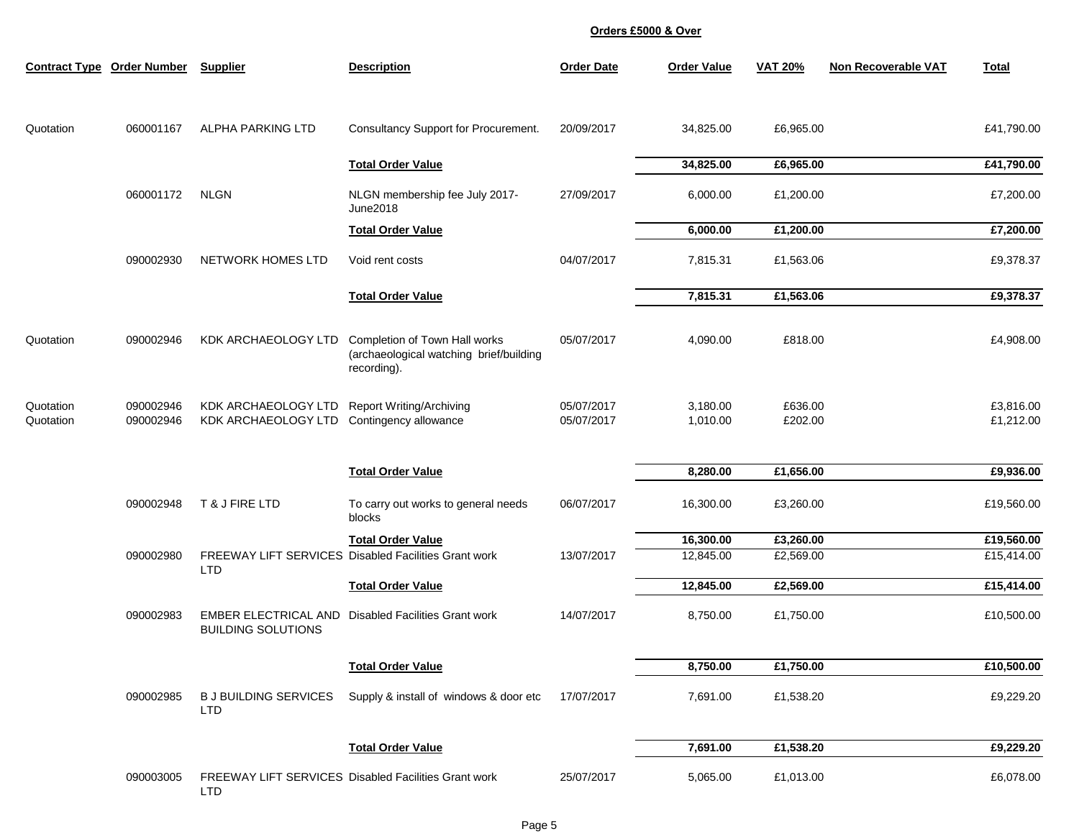|                        | <b>Contract Type Order Number</b> | <b>Supplier</b>                            | <b>Description</b>                                                                      | <b>Order Date</b>        | <b>Order Value</b>   | <b>VAT 20%</b>     | <b>Non Recoverable VAT</b> | <b>Total</b>           |
|------------------------|-----------------------------------|--------------------------------------------|-----------------------------------------------------------------------------------------|--------------------------|----------------------|--------------------|----------------------------|------------------------|
|                        |                                   |                                            |                                                                                         |                          |                      |                    |                            |                        |
| Quotation              | 060001167                         | <b>ALPHA PARKING LTD</b>                   | Consultancy Support for Procurement.                                                    | 20/09/2017               | 34,825.00            | £6,965.00          |                            | £41,790.00             |
|                        |                                   |                                            | <b>Total Order Value</b>                                                                |                          | 34,825.00            | £6,965.00          |                            | £41,790.00             |
|                        | 060001172                         | <b>NLGN</b>                                | NLGN membership fee July 2017-<br><b>June2018</b>                                       | 27/09/2017               | 6,000.00             | £1,200.00          |                            | £7,200.00              |
|                        |                                   |                                            | <b>Total Order Value</b>                                                                |                          | 6,000.00             | £1,200.00          |                            | £7,200.00              |
|                        | 090002930                         | NETWORK HOMES LTD                          | Void rent costs                                                                         | 04/07/2017               | 7,815.31             | £1,563.06          |                            | £9,378.37              |
|                        |                                   |                                            | <b>Total Order Value</b>                                                                |                          | 7,815.31             | £1,563.06          |                            | £9,378.37              |
| Quotation              | 090002946                         | KDK ARCHAEOLOGY LTD                        | Completion of Town Hall works<br>(archaeological watching brief/building<br>recording). | 05/07/2017               | 4,090.00             | £818.00            |                            | £4,908.00              |
| Quotation<br>Quotation | 090002946<br>090002946            | KDK ARCHAEOLOGY LTD<br>KDK ARCHAEOLOGY LTD | <b>Report Writing/Archiving</b><br>Contingency allowance                                | 05/07/2017<br>05/07/2017 | 3,180.00<br>1,010.00 | £636.00<br>£202.00 |                            | £3,816.00<br>£1,212.00 |
|                        |                                   |                                            | <b>Total Order Value</b>                                                                |                          | 8,280.00             | £1,656.00          |                            | £9,936.00              |
|                        | 090002948                         | T & J FIRE LTD                             | To carry out works to general needs<br>blocks                                           | 06/07/2017               | 16,300.00            | £3,260.00          |                            | £19,560.00             |
|                        |                                   |                                            | <b>Total Order Value</b>                                                                |                          | 16,300.00            | £3,260.00          |                            | £19,560.00             |
|                        | 090002980                         | <b>LTD</b>                                 | <b>FREEWAY LIFT SERVICES Disabled Facilities Grant work</b>                             | 13/07/2017               | 12,845.00            | £2,569.00          |                            | £15,414.00             |
|                        |                                   |                                            | <b>Total Order Value</b>                                                                |                          | 12,845.00            | £2,569.00          |                            | £15,414.00             |
|                        | 090002983                         | <b>BUILDING SOLUTIONS</b>                  | <b>EMBER ELECTRICAL AND Disabled Facilities Grant work</b>                              | 14/07/2017               | 8,750.00             | £1,750.00          |                            | £10,500.00             |
|                        |                                   |                                            | <b>Total Order Value</b>                                                                |                          | 8,750.00             | £1,750.00          |                            | £10,500.00             |
|                        | 090002985                         | <b>BJ BUILDING SERVICES</b><br><b>LTD</b>  | Supply & install of windows & door etc                                                  | 17/07/2017               | 7,691.00             | £1,538.20          |                            | £9,229.20              |
|                        |                                   |                                            | <b>Total Order Value</b>                                                                |                          | 7,691.00             | £1,538.20          |                            | £9,229.20              |
|                        | 090003005                         | <b>LTD</b>                                 | FREEWAY LIFT SERVICES Disabled Facilities Grant work                                    | 25/07/2017               | 5,065.00             | £1,013.00          |                            | £6,078.00              |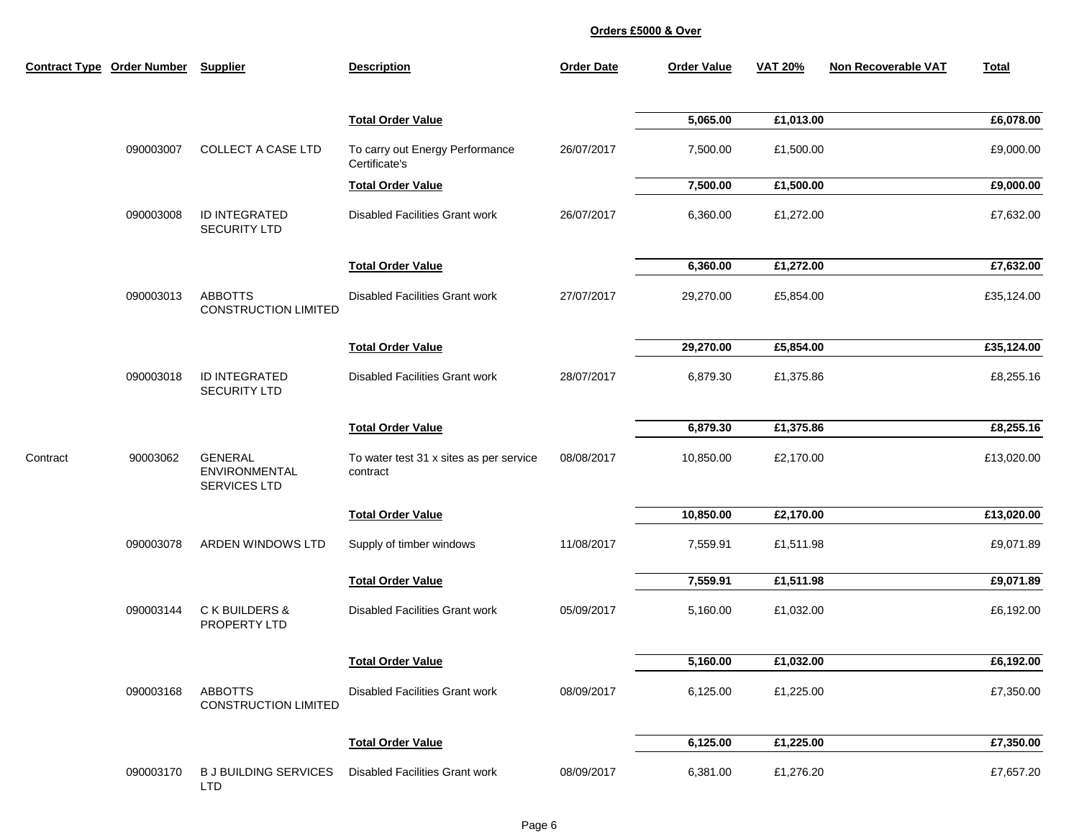|          | Contract Type Order Number Supplier |                                                               | <b>Description</b>                                  | <b>Order Date</b> | <b>Order Value</b> | <b>VAT 20%</b> | <b>Non Recoverable VAT</b> | <b>Total</b> |
|----------|-------------------------------------|---------------------------------------------------------------|-----------------------------------------------------|-------------------|--------------------|----------------|----------------------------|--------------|
|          |                                     |                                                               | <b>Total Order Value</b>                            |                   | 5,065.00           | £1,013.00      |                            | £6,078.00    |
|          | 090003007                           | <b>COLLECT A CASE LTD</b>                                     | To carry out Energy Performance<br>Certificate's    | 26/07/2017        | 7,500.00           | £1,500.00      |                            | £9,000.00    |
|          |                                     |                                                               | <b>Total Order Value</b>                            |                   | 7,500.00           | £1,500.00      |                            | £9,000.00    |
|          | 090003008                           | ID INTEGRATED<br><b>SECURITY LTD</b>                          | <b>Disabled Facilities Grant work</b>               | 26/07/2017        | 6,360.00           | £1,272.00      |                            | £7,632.00    |
|          |                                     |                                                               | <b>Total Order Value</b>                            |                   | 6,360.00           | £1,272.00      |                            | £7,632.00    |
|          | 090003013                           | <b>ABBOTTS</b><br><b>CONSTRUCTION LIMITED</b>                 | <b>Disabled Facilities Grant work</b>               | 27/07/2017        | 29,270.00          | £5,854.00      |                            | £35,124.00   |
|          |                                     |                                                               | <b>Total Order Value</b>                            |                   | 29,270.00          | £5,854.00      |                            | £35,124.00   |
|          | 090003018                           | <b>ID INTEGRATED</b><br><b>SECURITY LTD</b>                   | <b>Disabled Facilities Grant work</b>               | 28/07/2017        | 6,879.30           | £1,375.86      |                            | £8,255.16    |
|          |                                     |                                                               | <b>Total Order Value</b>                            |                   | 6,879.30           | £1,375.86      |                            | £8,255.16    |
| Contract | 90003062                            | <b>GENERAL</b><br><b>ENVIRONMENTAL</b><br><b>SERVICES LTD</b> | To water test 31 x sites as per service<br>contract | 08/08/2017        | 10,850.00          | £2,170.00      |                            | £13,020.00   |
|          |                                     |                                                               | <b>Total Order Value</b>                            |                   | 10,850.00          | £2,170.00      |                            | E13,020.00   |
|          | 090003078                           | ARDEN WINDOWS LTD                                             | Supply of timber windows                            | 11/08/2017        | 7,559.91           | £1,511.98      |                            | £9,071.89    |
|          |                                     |                                                               | <b>Total Order Value</b>                            |                   | 7,559.91           | £1,511.98      |                            | £9,071.89    |
|          | 090003144                           | C K BUILDERS &<br>PROPERTY LTD                                | <b>Disabled Facilities Grant work</b>               | 05/09/2017        | 5,160.00           | £1,032.00      |                            | £6,192.00    |
|          |                                     |                                                               | <b>Total Order Value</b>                            |                   | 5,160.00           | £1,032.00      |                            | £6,192.00    |
|          | 090003168                           | <b>ABBOTTS</b><br><b>CONSTRUCTION LIMITED</b>                 | <b>Disabled Facilities Grant work</b>               | 08/09/2017        | 6,125.00           | £1,225.00      |                            | £7,350.00    |
|          |                                     |                                                               | <b>Total Order Value</b>                            |                   | 6,125.00           | £1,225.00      |                            | £7,350.00    |
|          | 090003170                           | <b>BJ BUILDING SERVICES</b><br><b>LTD</b>                     | <b>Disabled Facilities Grant work</b>               | 08/09/2017        | 6,381.00           | £1,276.20      |                            | £7,657.20    |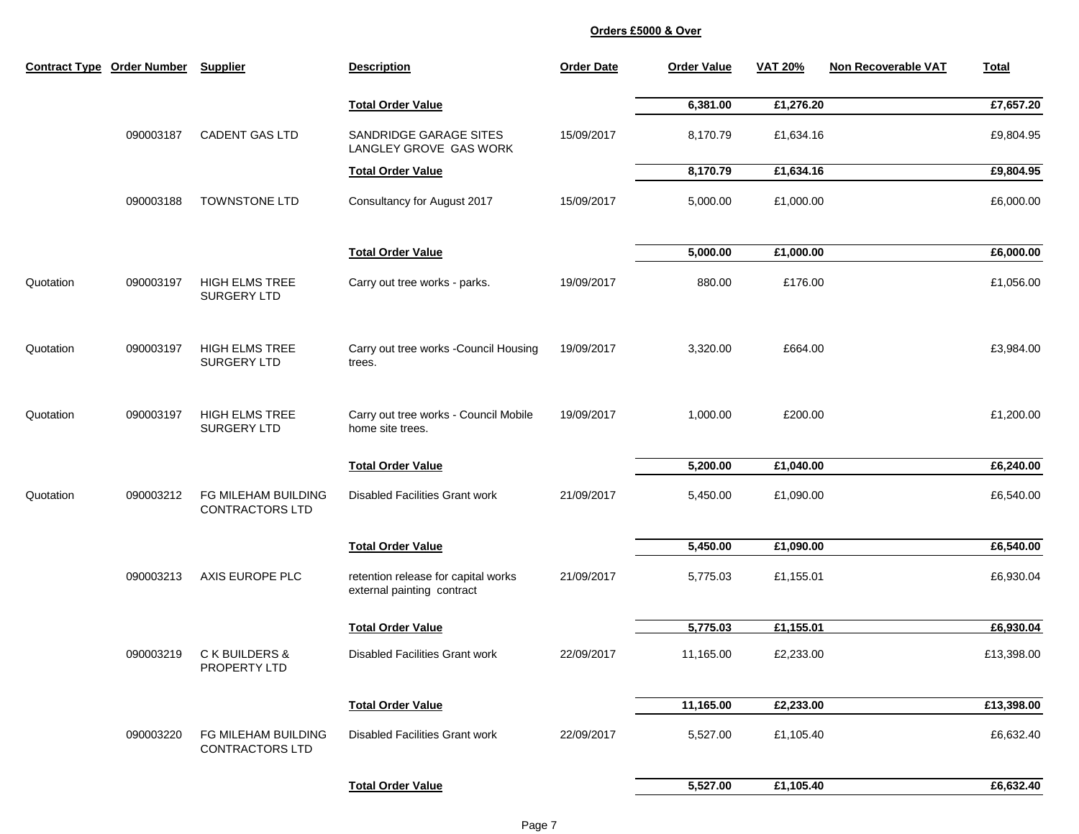|           | <b>Contract Type Order Number</b> | <b>Supplier</b>                               | <b>Description</b>                                                | <b>Order Date</b> | <b>Order Value</b> | <b>VAT 20%</b> | <b>Non Recoverable VAT</b> | <b>Total</b> |
|-----------|-----------------------------------|-----------------------------------------------|-------------------------------------------------------------------|-------------------|--------------------|----------------|----------------------------|--------------|
|           |                                   |                                               | <b>Total Order Value</b>                                          |                   | 6,381.00           | £1,276.20      |                            | £7,657.20    |
|           | 090003187                         | <b>CADENT GAS LTD</b>                         | SANDRIDGE GARAGE SITES<br>LANGLEY GROVE GAS WORK                  | 15/09/2017        | 8,170.79           | £1,634.16      |                            | £9,804.95    |
|           |                                   |                                               | <b>Total Order Value</b>                                          |                   | 8,170.79           | £1,634.16      |                            | £9,804.95    |
|           | 090003188                         | TOWNSTONE LTD                                 | Consultancy for August 2017                                       | 15/09/2017        | 5,000.00           | £1,000.00      |                            | £6,000.00    |
|           |                                   |                                               | <b>Total Order Value</b>                                          |                   | 5,000.00           | £1,000.00      |                            | £6,000.00    |
| Quotation | 090003197                         | <b>HIGH ELMS TREE</b><br>SURGERY LTD          | Carry out tree works - parks.                                     | 19/09/2017        | 880.00             | £176.00        |                            | £1,056.00    |
| Quotation | 090003197                         | <b>HIGH ELMS TREE</b><br>SURGERY LTD          | Carry out tree works - Council Housing<br>trees.                  | 19/09/2017        | 3,320.00           | £664.00        |                            | £3,984.00    |
| Quotation | 090003197                         | <b>HIGH ELMS TREE</b><br>SURGERY LTD          | Carry out tree works - Council Mobile<br>home site trees.         | 19/09/2017        | 1,000.00           | £200.00        |                            | £1,200.00    |
|           |                                   |                                               | <b>Total Order Value</b>                                          |                   | 5,200.00           | £1,040.00      |                            | £6,240.00    |
| Quotation | 090003212                         | FG MILEHAM BUILDING<br><b>CONTRACTORS LTD</b> | <b>Disabled Facilities Grant work</b>                             | 21/09/2017        | 5,450.00           | £1,090.00      |                            | £6,540.00    |
|           |                                   |                                               | <b>Total Order Value</b>                                          |                   | 5,450.00           | £1,090.00      |                            | £6,540.00    |
|           | 090003213                         | AXIS EUROPE PLC                               | retention release for capital works<br>external painting contract | 21/09/2017        | 5,775.03           | £1,155.01      |                            | £6,930.04    |
|           |                                   |                                               | <b>Total Order Value</b>                                          |                   | 5,775.03           | £1,155.01      |                            | £6,930.04    |
|           | 090003219                         | C K BUILDERS &<br>PROPERTY LTD                | <b>Disabled Facilities Grant work</b>                             | 22/09/2017        | 11,165.00          | £2,233.00      |                            | £13,398.00   |
|           |                                   |                                               | <b>Total Order Value</b>                                          |                   | 11,165.00          | £2,233.00      |                            | £13,398.00   |
|           | 090003220                         | FG MILEHAM BUILDING<br><b>CONTRACTORS LTD</b> | <b>Disabled Facilities Grant work</b>                             | 22/09/2017        | 5,527.00           | £1,105.40      |                            | £6,632.40    |
|           |                                   |                                               | <b>Total Order Value</b>                                          |                   | 5,527.00           | £1,105.40      |                            | £6,632.40    |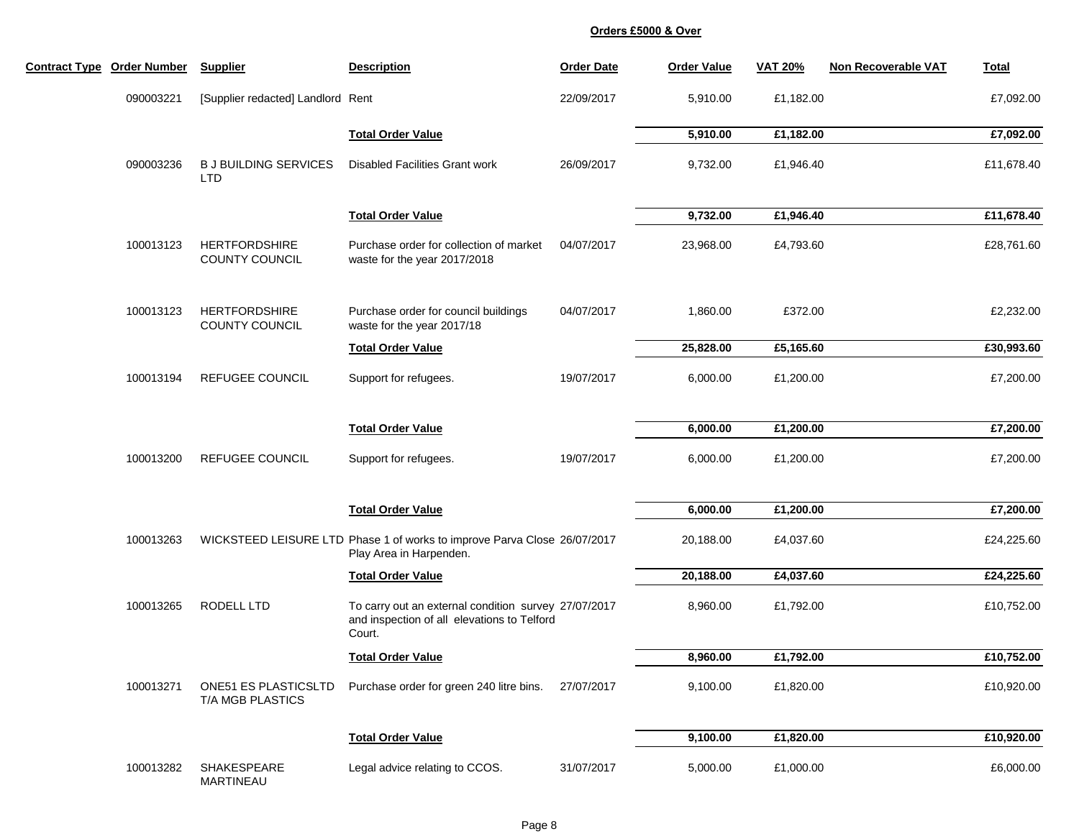| <b>Contract Type Order Number</b> | <b>Supplier</b>                                 | <b>Description</b>                                                                                            | <b>Order Date</b> | <b>Order Value</b> | <b>VAT 20%</b> | <b>Non Recoverable VAT</b> | <b>Total</b> |
|-----------------------------------|-------------------------------------------------|---------------------------------------------------------------------------------------------------------------|-------------------|--------------------|----------------|----------------------------|--------------|
| 090003221                         | [Supplier redacted] Landlord Rent               |                                                                                                               | 22/09/2017        | 5,910.00           | £1,182.00      |                            | £7,092.00    |
|                                   |                                                 | <b>Total Order Value</b>                                                                                      |                   | 5,910.00           | £1,182.00      |                            | £7,092.00    |
| 090003236                         | <b>BJ BUILDING SERVICES</b><br><b>LTD</b>       | <b>Disabled Facilities Grant work</b>                                                                         | 26/09/2017        | 9,732.00           | £1,946.40      |                            | £11,678.40   |
|                                   |                                                 | <b>Total Order Value</b>                                                                                      |                   | 9,732.00           | £1,946.40      |                            | £11,678.40   |
| 100013123                         | <b>HERTFORDSHIRE</b><br><b>COUNTY COUNCIL</b>   | Purchase order for collection of market<br>waste for the year 2017/2018                                       | 04/07/2017        | 23,968.00          | £4,793.60      |                            | £28,761.60   |
| 100013123                         | <b>HERTFORDSHIRE</b><br>COUNTY COUNCIL          | Purchase order for council buildings<br>waste for the year 2017/18                                            | 04/07/2017        | 1,860.00           | £372.00        |                            | £2,232.00    |
|                                   |                                                 | <b>Total Order Value</b>                                                                                      |                   | 25,828.00          | £5,165.60      |                            | £30,993.60   |
| 100013194                         | <b>REFUGEE COUNCIL</b>                          | Support for refugees.                                                                                         | 19/07/2017        | 6,000.00           | £1,200.00      |                            | £7,200.00    |
|                                   |                                                 | <b>Total Order Value</b>                                                                                      |                   | 6,000.00           | £1,200.00      |                            | £7,200.00    |
| 100013200                         | <b>REFUGEE COUNCIL</b>                          | Support for refugees.                                                                                         | 19/07/2017        | 6,000.00           | £1,200.00      |                            | £7,200.00    |
|                                   |                                                 | <b>Total Order Value</b>                                                                                      |                   | 6,000.00           | £1,200.00      |                            | £7,200.00    |
| 100013263                         |                                                 | WICKSTEED LEISURE LTD Phase 1 of works to improve Parva Close 26/07/2017<br>Play Area in Harpenden.           |                   | 20,188.00          | £4,037.60      |                            | £24,225.60   |
|                                   |                                                 | <b>Total Order Value</b>                                                                                      |                   | 20,188.00          | £4,037.60      |                            | £24,225.60   |
| 100013265                         | RODELL LTD                                      | To carry out an external condition survey 27/07/2017<br>and inspection of all elevations to Telford<br>Court. |                   | 8,960.00           | £1,792.00      |                            | £10,752.00   |
|                                   |                                                 | <b>Total Order Value</b>                                                                                      |                   | 8,960.00           | £1,792.00      |                            | £10,752.00   |
| 100013271                         | <b>ONE51 ES PLASTICSLTD</b><br>T/A MGB PLASTICS | Purchase order for green 240 litre bins.                                                                      | 27/07/2017        | 9,100.00           | £1,820.00      |                            | £10,920.00   |
|                                   |                                                 | <b>Total Order Value</b>                                                                                      |                   | 9,100.00           | £1,820.00      |                            | £10,920.00   |
| 100013282                         | SHAKESPEARE<br>MARTINEAU                        | Legal advice relating to CCOS.                                                                                | 31/07/2017        | 5,000.00           | £1,000.00      |                            | £6,000.00    |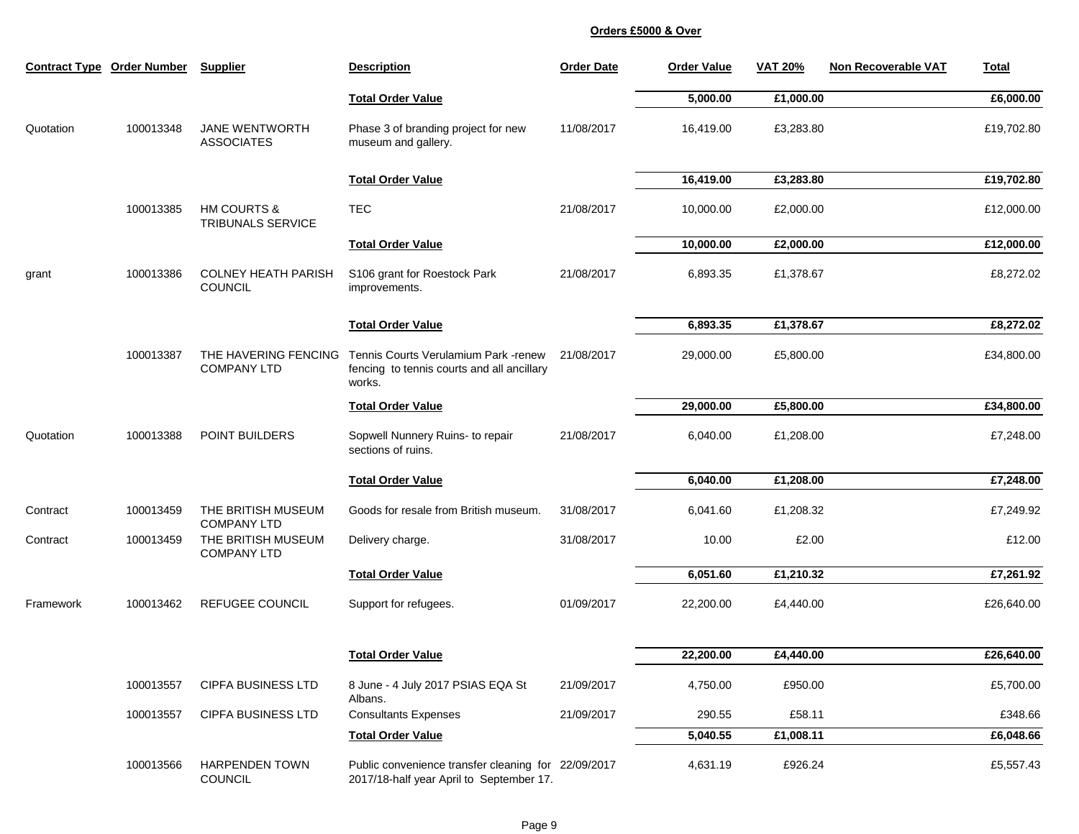|           | <b>Contract Type Order Number</b> | <b>Supplier</b>                                    | <b>Description</b>                                                                              | <b>Order Date</b> | <b>Order Value</b> | <b>VAT 20%</b> | <b>Non Recoverable VAT</b> | <b>Total</b> |
|-----------|-----------------------------------|----------------------------------------------------|-------------------------------------------------------------------------------------------------|-------------------|--------------------|----------------|----------------------------|--------------|
|           |                                   |                                                    | <b>Total Order Value</b>                                                                        |                   | 5,000.00           | £1,000.00      |                            | £6,000.00    |
| Quotation | 100013348                         | <b>JANE WENTWORTH</b><br><b>ASSOCIATES</b>         | Phase 3 of branding project for new<br>museum and gallery.                                      | 11/08/2017        | 16,419.00          | £3,283.80      |                            | £19,702.80   |
|           |                                   |                                                    | <b>Total Order Value</b>                                                                        |                   | 16,419.00          | £3,283.80      |                            | £19,702.80   |
|           | 100013385                         | <b>HM COURTS &amp;</b><br><b>TRIBUNALS SERVICE</b> | <b>TEC</b>                                                                                      | 21/08/2017        | 10,000.00          | £2,000.00      |                            | £12,000.00   |
|           |                                   |                                                    | <b>Total Order Value</b>                                                                        |                   | 10,000.00          | £2,000.00      |                            | £12,000.00   |
| grant     | 100013386                         | <b>COLNEY HEATH PARISH</b><br><b>COUNCIL</b>       | S106 grant for Roestock Park<br>improvements.                                                   | 21/08/2017        | 6,893.35           | £1,378.67      |                            | £8,272.02    |
|           |                                   |                                                    | <b>Total Order Value</b>                                                                        |                   | 6,893.35           | £1,378.67      |                            | £8,272.02    |
|           | 100013387                         | THE HAVERING FENCING<br><b>COMPANY LTD</b>         | Tennis Courts Verulamium Park -renew<br>fencing to tennis courts and all ancillary<br>works.    | 21/08/2017        | 29,000.00          | £5,800.00      |                            | £34,800.00   |
|           |                                   |                                                    | <b>Total Order Value</b>                                                                        |                   | 29,000.00          | £5,800.00      |                            | £34,800.00   |
| Quotation | 100013388                         | POINT BUILDERS                                     | Sopwell Nunnery Ruins- to repair<br>sections of ruins.                                          | 21/08/2017        | 6,040.00           | £1,208.00      |                            | £7,248.00    |
|           |                                   |                                                    | <b>Total Order Value</b>                                                                        |                   | 6,040.00           | £1,208.00      |                            | £7,248.00    |
| Contract  | 100013459                         | THE BRITISH MUSEUM<br><b>COMPANY LTD</b>           | Goods for resale from British museum.                                                           | 31/08/2017        | 6,041.60           | £1,208.32      |                            | £7,249.92    |
| Contract  | 100013459                         | THE BRITISH MUSEUM<br><b>COMPANY LTD</b>           | Delivery charge.                                                                                | 31/08/2017        | 10.00              | £2.00          |                            | £12.00       |
|           |                                   |                                                    | <b>Total Order Value</b>                                                                        |                   | 6,051.60           | £1,210.32      |                            | £7,261.92    |
| Framework | 100013462                         | <b>REFUGEE COUNCIL</b>                             | Support for refugees.                                                                           | 01/09/2017        | 22,200.00          | £4,440.00      |                            | £26,640.00   |
|           |                                   |                                                    | <b>Total Order Value</b>                                                                        |                   | 22,200.00          | £4,440.00      |                            | £26,640.00   |
|           | 100013557                         | <b>CIPFA BUSINESS LTD</b>                          | 8 June - 4 July 2017 PSIAS EQA St                                                               | 21/09/2017        | 4,750.00           | £950.00        |                            | £5,700.00    |
|           | 100013557                         | <b>CIPFA BUSINESS LTD</b>                          | Albans.<br><b>Consultants Expenses</b>                                                          | 21/09/2017        | 290.55             | £58.11         |                            | £348.66      |
|           |                                   |                                                    | <b>Total Order Value</b>                                                                        |                   | 5,040.55           | £1,008.11      |                            | £6,048.66    |
|           | 100013566                         | <b>HARPENDEN TOWN</b><br><b>COUNCIL</b>            | Public convenience transfer cleaning for 22/09/2017<br>2017/18-half year April to September 17. |                   | 4,631.19           | £926.24        |                            | £5,557.43    |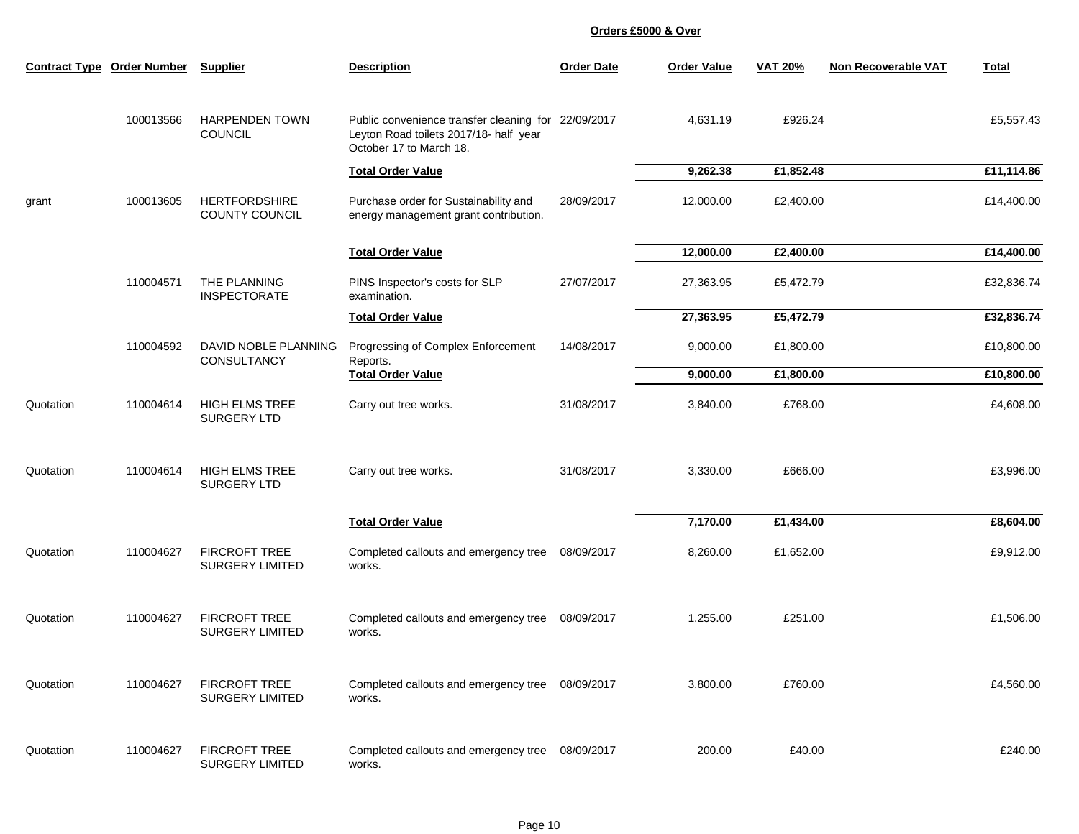| <b>Contract Type</b> | <b>Order Number</b> | <b>Supplier</b>                                | <b>Description</b>                                                                                                       | <b>Order Date</b> | <b>Order Value</b> | <b>VAT 20%</b> | <b>Non Recoverable VAT</b> | <b>Total</b> |
|----------------------|---------------------|------------------------------------------------|--------------------------------------------------------------------------------------------------------------------------|-------------------|--------------------|----------------|----------------------------|--------------|
|                      | 100013566           | <b>HARPENDEN TOWN</b><br>COUNCIL               | Public convenience transfer cleaning for 22/09/2017<br>Leyton Road toilets 2017/18- half year<br>October 17 to March 18. |                   | 4,631.19           | £926.24        |                            | £5,557.43    |
|                      |                     |                                                | <b>Total Order Value</b>                                                                                                 |                   | 9,262.38           | £1,852.48      |                            | £11,114.86   |
| grant                | 100013605           | <b>HERTFORDSHIRE</b><br><b>COUNTY COUNCIL</b>  | Purchase order for Sustainability and<br>energy management grant contribution.                                           | 28/09/2017        | 12,000.00          | £2,400.00      |                            | £14,400.00   |
|                      |                     |                                                | <b>Total Order Value</b>                                                                                                 |                   | 12,000.00          | £2,400.00      |                            | £14,400.00   |
|                      | 110004571           | THE PLANNING<br><b>INSPECTORATE</b>            | PINS Inspector's costs for SLP<br>examination.                                                                           | 27/07/2017        | 27,363.95          | £5,472.79      |                            | £32,836.74   |
|                      |                     |                                                | <b>Total Order Value</b>                                                                                                 |                   | 27,363.95          | £5,472.79      |                            | £32,836.74   |
|                      | 110004592           | DAVID NOBLE PLANNING<br>CONSULTANCY            | Progressing of Complex Enforcement<br>Reports.                                                                           | 14/08/2017        | 9,000.00           | £1,800.00      |                            | £10,800.00   |
|                      |                     |                                                | <b>Total Order Value</b>                                                                                                 |                   | 9,000.00           | £1,800.00      |                            | £10,800.00   |
| Quotation            | 110004614           | <b>HIGH ELMS TREE</b><br><b>SURGERY LTD</b>    | Carry out tree works.                                                                                                    | 31/08/2017        | 3,840.00           | £768.00        |                            | £4,608.00    |
| Quotation            | 110004614           | <b>HIGH ELMS TREE</b><br><b>SURGERY LTD</b>    | Carry out tree works.                                                                                                    | 31/08/2017        | 3,330.00           | £666.00        |                            | £3,996.00    |
|                      |                     |                                                | <b>Total Order Value</b>                                                                                                 |                   | 7,170.00           | £1,434.00      |                            | £8,604.00    |
| Quotation            | 110004627           | <b>FIRCROFT TREE</b><br><b>SURGERY LIMITED</b> | Completed callouts and emergency tree<br>works.                                                                          | 08/09/2017        | 8,260.00           | £1,652.00      |                            | £9,912.00    |
| Quotation            | 110004627           | <b>FIRCROFT TREE</b><br><b>SURGERY LIMITED</b> | Completed callouts and emergency tree 08/09/2017<br>works.                                                               |                   | 1,255.00           | £251.00        |                            | £1,506.00    |
| Quotation            | 110004627           | <b>FIRCROFT TREE</b><br><b>SURGERY LIMITED</b> | Completed callouts and emergency tree 08/09/2017<br>works.                                                               |                   | 3,800.00           | £760.00        |                            | £4,560.00    |
| Quotation            | 110004627           | <b>FIRCROFT TREE</b><br><b>SURGERY LIMITED</b> | Completed callouts and emergency tree<br>works.                                                                          | 08/09/2017        | 200.00             | £40.00         |                            | £240.00      |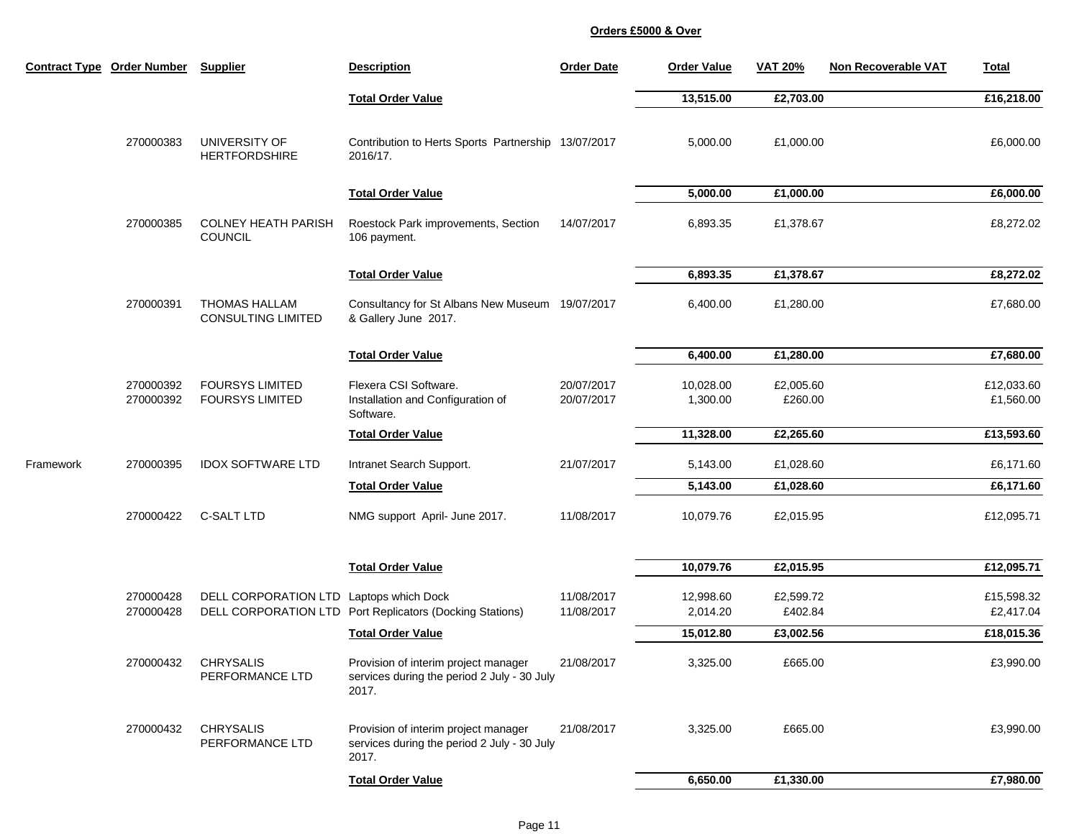|           | <b>Contract Type Order Number</b> | <b>Supplier</b>                                   | <b>Description</b>                                                                           | <b>Order Date</b>        | <b>Order Value</b>    | <b>VAT 20%</b>       | Non Recoverable VAT | <b>Total</b>            |
|-----------|-----------------------------------|---------------------------------------------------|----------------------------------------------------------------------------------------------|--------------------------|-----------------------|----------------------|---------------------|-------------------------|
|           |                                   |                                                   | <b>Total Order Value</b>                                                                     |                          | 13,515.00             | £2,703.00            |                     | £16,218.00              |
|           | 270000383                         | UNIVERSITY OF<br><b>HERTFORDSHIRE</b>             | Contribution to Herts Sports Partnership 13/07/2017<br>2016/17.                              |                          | 5,000.00              | £1,000.00            |                     | £6,000.00               |
|           |                                   |                                                   | <b>Total Order Value</b>                                                                     |                          | 5,000.00              | £1,000.00            |                     | £6,000.00               |
|           | 270000385                         | <b>COLNEY HEATH PARISH</b><br><b>COUNCIL</b>      | Roestock Park improvements, Section<br>106 payment.                                          | 14/07/2017               | 6,893.35              | £1,378.67            |                     | £8,272.02               |
|           |                                   |                                                   | <b>Total Order Value</b>                                                                     |                          | 6,893.35              | £1,378.67            |                     | £8,272.02               |
|           | 270000391                         | <b>THOMAS HALLAM</b><br><b>CONSULTING LIMITED</b> | Consultancy for St Albans New Museum 19/07/2017<br>& Gallery June 2017.                      |                          | 6,400.00              | £1,280.00            |                     | £7,680.00               |
|           |                                   |                                                   | <b>Total Order Value</b>                                                                     |                          | 6,400.00              | £1,280.00            |                     | £7,680.00               |
|           | 270000392<br>270000392            | <b>FOURSYS LIMITED</b><br><b>FOURSYS LIMITED</b>  | Flexera CSI Software.<br>Installation and Configuration of<br>Software.                      | 20/07/2017<br>20/07/2017 | 10,028.00<br>1,300.00 | £2,005.60<br>£260.00 |                     | £12,033.60<br>£1,560.00 |
|           |                                   |                                                   | <b>Total Order Value</b>                                                                     |                          | 11,328.00             | £2,265.60            |                     | £13,593.60              |
| Framework | 270000395                         | <b>IDOX SOFTWARE LTD</b>                          | Intranet Search Support.                                                                     | 21/07/2017               | 5,143.00              | £1,028.60            |                     | £6,171.60               |
|           |                                   |                                                   | <b>Total Order Value</b>                                                                     |                          | 5,143.00              | £1,028.60            |                     | £6,171.60               |
|           | 270000422                         | <b>C-SALT LTD</b>                                 | NMG support April- June 2017.                                                                | 11/08/2017               | 10,079.76             | £2,015.95            |                     | £12,095.71              |
|           |                                   |                                                   | <b>Total Order Value</b>                                                                     |                          | 10,079.76             | £2,015.95            |                     | £12,095.71              |
|           | 270000428<br>270000428            | DELL CORPORATION LTD Laptops which Dock           | DELL CORPORATION LTD Port Replicators (Docking Stations)                                     | 11/08/2017<br>11/08/2017 | 12,998.60<br>2,014.20 | £2,599.72<br>£402.84 |                     | £15,598.32<br>£2,417.04 |
|           |                                   |                                                   | <b>Total Order Value</b>                                                                     |                          | 15,012.80             | £3,002.56            |                     | £18,015.36              |
|           | 270000432                         | <b>CHRYSALIS</b><br>PERFORMANCE LTD               | Provision of interim project manager<br>services during the period 2 July - 30 July<br>2017. | 21/08/2017               | 3,325.00              | £665.00              |                     | £3,990.00               |
|           | 270000432                         | <b>CHRYSALIS</b><br>PERFORMANCE LTD               | Provision of interim project manager<br>services during the period 2 July - 30 July<br>2017. | 21/08/2017               | 3,325.00              | £665.00              |                     | £3,990.00               |
|           |                                   |                                                   | <b>Total Order Value</b>                                                                     |                          | 6,650.00              | £1,330.00            |                     | £7,980.00               |